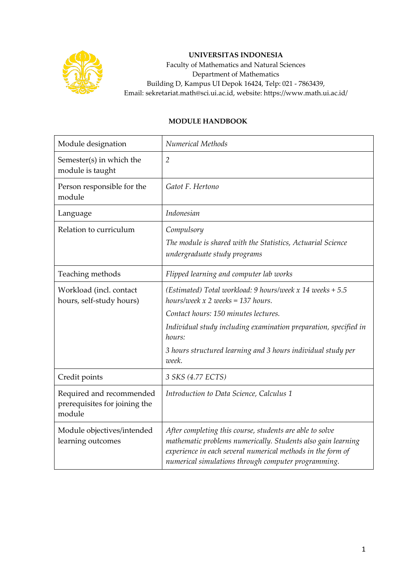

## **UNIVERSITAS INDONESIA**

Faculty of Mathematics and Natural Sciences Department of Mathematics Building D, Kampus UI Depok 16424, Telp: 021 - 7863439, Email: sekretariat.math@sci.ui.ac.id, website: https://www.math.ui.ac.id/

## **MODULE HANDBOOK**

| Module designation                                                  | Numerical Methods                                                                                                                                                                                                                              |
|---------------------------------------------------------------------|------------------------------------------------------------------------------------------------------------------------------------------------------------------------------------------------------------------------------------------------|
| Semester(s) in which the<br>module is taught                        | $\overline{2}$                                                                                                                                                                                                                                 |
| Person responsible for the<br>module                                | Gatot F. Hertono                                                                                                                                                                                                                               |
| Language                                                            | Indonesian                                                                                                                                                                                                                                     |
| Relation to curriculum                                              | Compulsory                                                                                                                                                                                                                                     |
|                                                                     | The module is shared with the Statistics, Actuarial Science<br>undergraduate study programs                                                                                                                                                    |
| Teaching methods                                                    | Flipped learning and computer lab works                                                                                                                                                                                                        |
| Workload (incl. contact<br>hours, self-study hours)                 | (Estimated) Total workload: 9 hours/week $x$ 14 weeks + 5.5<br>hours/week $x$ 2 weeks = 137 hours.                                                                                                                                             |
|                                                                     | Contact hours: 150 minutes lectures.                                                                                                                                                                                                           |
|                                                                     | Individual study including examination preparation, specified in<br>hours:                                                                                                                                                                     |
|                                                                     | 3 hours structured learning and 3 hours individual study per<br>week.                                                                                                                                                                          |
| Credit points                                                       | 3 SKS (4.77 ECTS)                                                                                                                                                                                                                              |
| Required and recommended<br>prerequisites for joining the<br>module | Introduction to Data Science, Calculus 1                                                                                                                                                                                                       |
| Module objectives/intended<br>learning outcomes                     | After completing this course, students are able to solve<br>mathematic problems numerically. Students also gain learning<br>experience in each several numerical methods in the form of<br>numerical simulations through computer programming. |